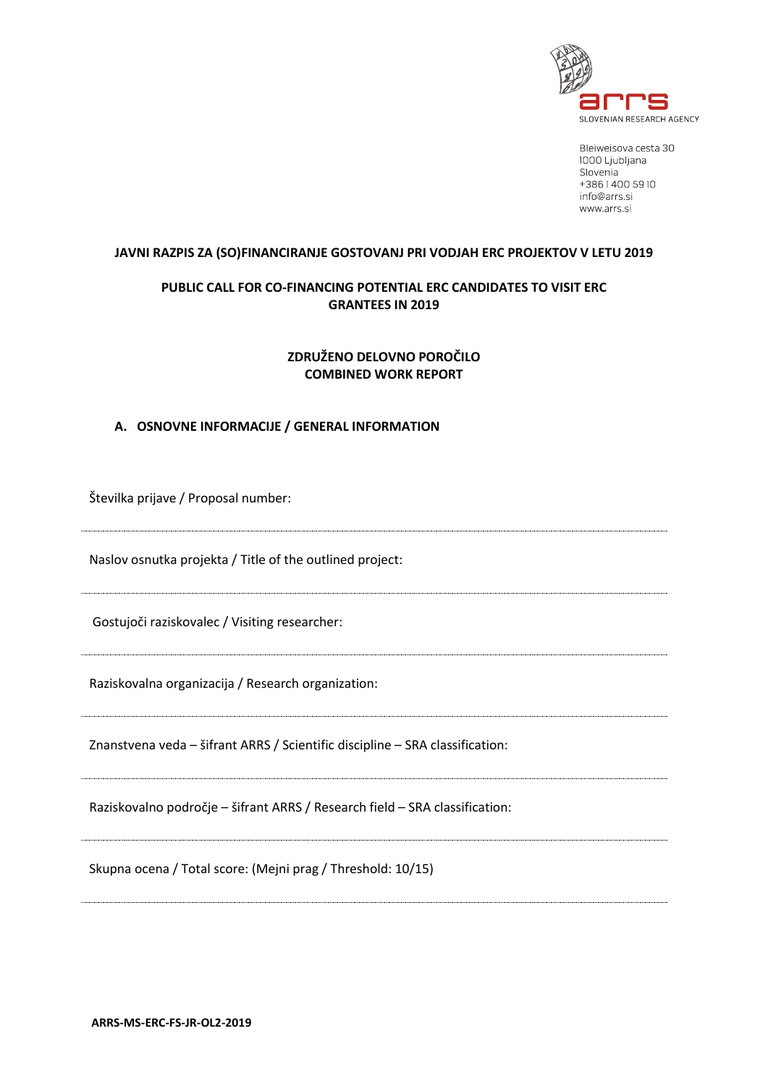

Bleiweisova cesta 30 1000 Ljubljana Slovenia +38614005910 info@arrs.si www.arrs.si

#### **JAVNI RAZPIS ZA (SO)FINANCIRANJE GOSTOVANJ PRI VODJAH ERC PROJEKTOV V LETU 2019**

# **PUBLIC CALL FOR CO-FINANCING POTENTIAL ERC CANDIDATES TO VISIT ERC GRANTEES IN 2019**

# **ZDRUŽENO DELOVNO POROČILO COMBINED WORK REPORT**

## **A. OSNOVNE INFORMACIJE / GENERAL INFORMATION**

Številka prijave / Proposal number: Naslov osnutka projekta / Title of the outlined project: Gostujoči raziskovalec / Visiting researcher: Raziskovalna organizacija / Research organization: Znanstvena veda – šifrant ARRS / Scientific discipline – SRA classification: Raziskovalno področje – šifrant ARRS / Research field – SRA classification: Skupna ocena / Total score: (Mejni prag / Threshold: 10/15)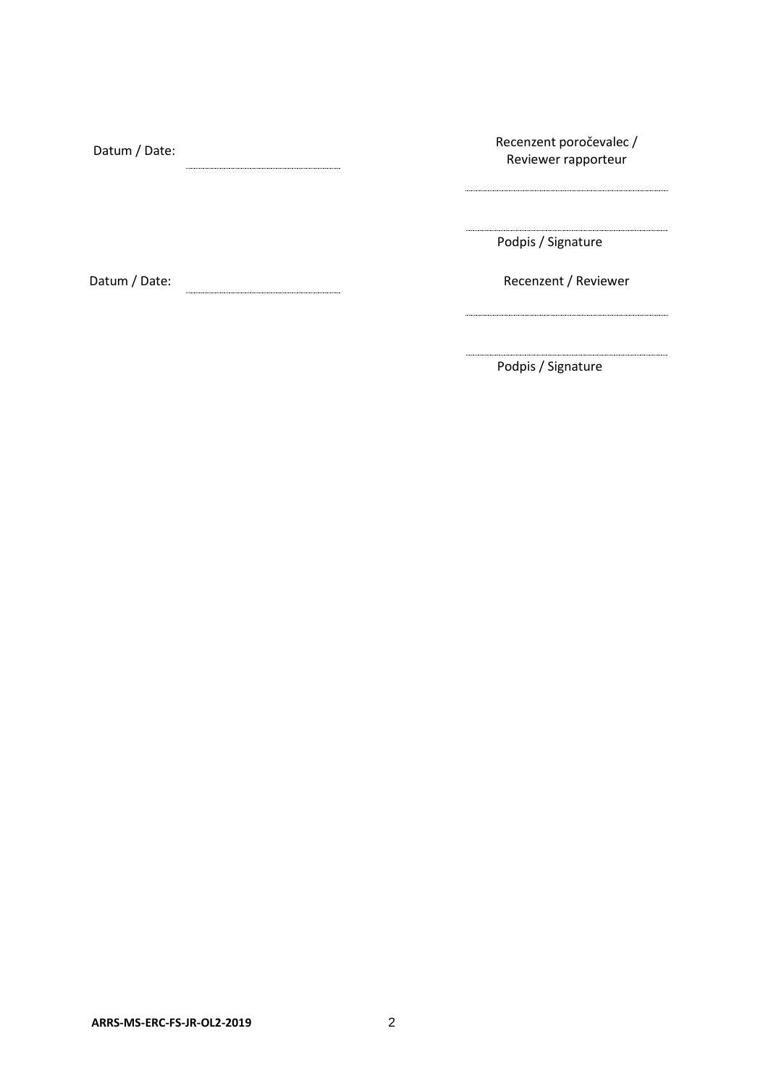| Datum / Date: | Recenzent poročevalec /<br>Reviewer rapporteur |
|---------------|------------------------------------------------|
|               |                                                |
|               | Podpis / Signature                             |
| Datum / Date: | Recenzent / Reviewer                           |
|               |                                                |

Podpis / Signature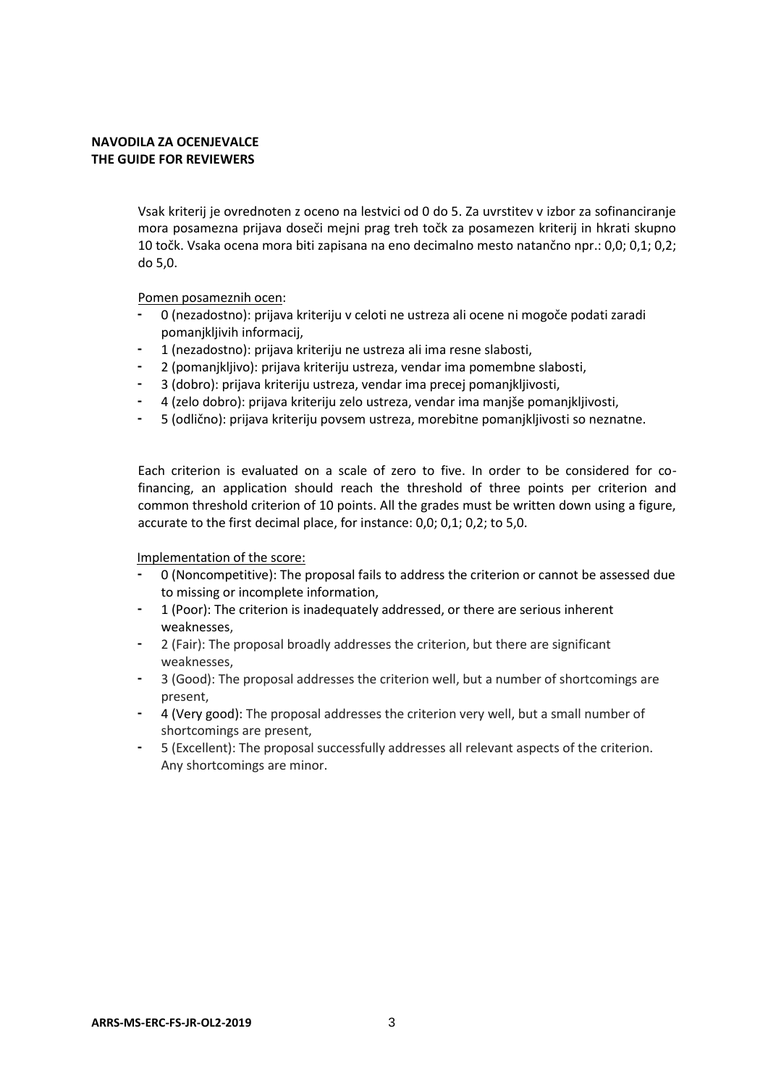## **NAVODILA ZA OCENJEVALCE THE GUIDE FOR REVIEWERS**

Vsak kriterij je ovrednoten z oceno na lestvici od 0 do 5. Za uvrstitev v izbor za sofinanciranje mora posamezna prijava doseči mejni prag treh točk za posamezen kriterij in hkrati skupno 10 točk. Vsaka ocena mora biti zapisana na eno decimalno mesto natančno npr.: 0,0; 0,1; 0,2; do 5,0.

Pomen posameznih ocen:

- 0 (nezadostno): prijava kriteriju v celoti ne ustreza ali ocene ni mogoče podati zaradi pomanjkljivih informacij,
- 1 (nezadostno): prijava kriteriju ne ustreza ali ima resne slabosti,
- 2 (pomanjkljivo): prijava kriteriju ustreza, vendar ima pomembne slabosti,
- 3 (dobro): prijava kriteriju ustreza, vendar ima precej pomanjkljivosti,
- 4 (zelo dobro): prijava kriteriju zelo ustreza, vendar ima manjše pomanjkljivosti,
- 5 (odlično): prijava kriteriju povsem ustreza, morebitne pomanjkljivosti so neznatne.

Each criterion is evaluated on a scale of zero to five. In order to be considered for cofinancing, an application should reach the threshold of three points per criterion and common threshold criterion of 10 points. All the grades must be written down using a figure, accurate to the first decimal place, for instance: 0,0; 0,1; 0,2; to 5,0.

Implementation of the score:

- 0 (Noncompetitive): The proposal fails to address the criterion or cannot be assessed due to missing or incomplete information,
- 1 (Poor): The criterion is inadequately addressed, or there are serious inherent weaknesses,
- 2 (Fair): The proposal broadly addresses the criterion, but there are significant weaknesses,
- 3 (Good): The proposal addresses the criterion well, but a number of shortcomings are present,
- 4 (Very good): The proposal addresses the criterion very well, but a small number of shortcomings are present,
- 5 (Excellent): The proposal successfully addresses all relevant aspects of the criterion. Any shortcomings are minor.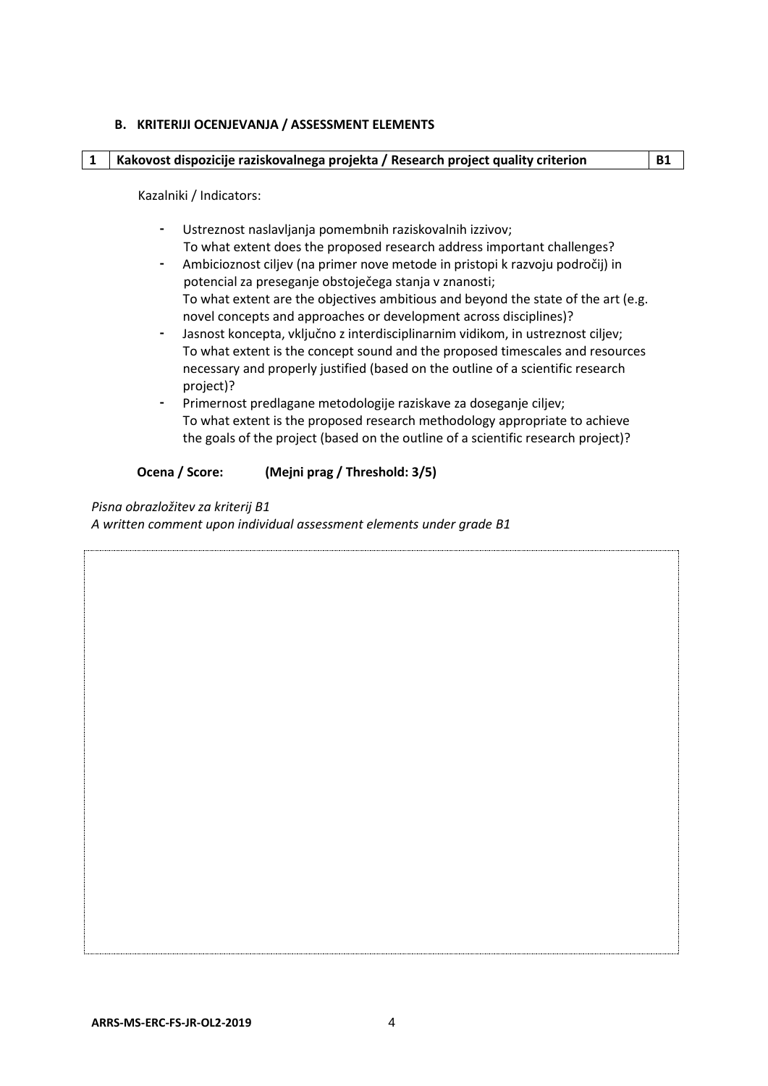### **B. KRITERIJI OCENJEVANJA / ASSESSMENT ELEMENTS**

#### **1 Kakovost dispozicije raziskovalnega projekta / Research project quality criterion B1**

Kazalniki / Indicators:

- Ustreznost naslavljanja pomembnih raziskovalnih izzivov; To what extent does the proposed research address important challenges?
- Ambicioznost ciljev (na primer nove metode in pristopi k razvoju področij) in potencial za preseganje obstoječega stanja v znanosti; To what extent are the objectives ambitious and beyond the state of the art (e.g. novel concepts and approaches or development across disciplines)?
- Jasnost koncepta, vključno z interdisciplinarnim vidikom, in ustreznost ciljev; To what extent is the concept sound and the proposed timescales and resources necessary and properly justified (based on the outline of a scientific research project)?
- Primernost predlagane metodologije raziskave za doseganje ciljev; To what extent is the proposed research methodology appropriate to achieve the goals of the project (based on the outline of a scientific research project)?

### **Ocena / Score: (Mejni prag / Threshold: 3/5)**

*Pisna obrazložitev za kriterij B1* 

*A written comment upon individual assessment elements under grade B1*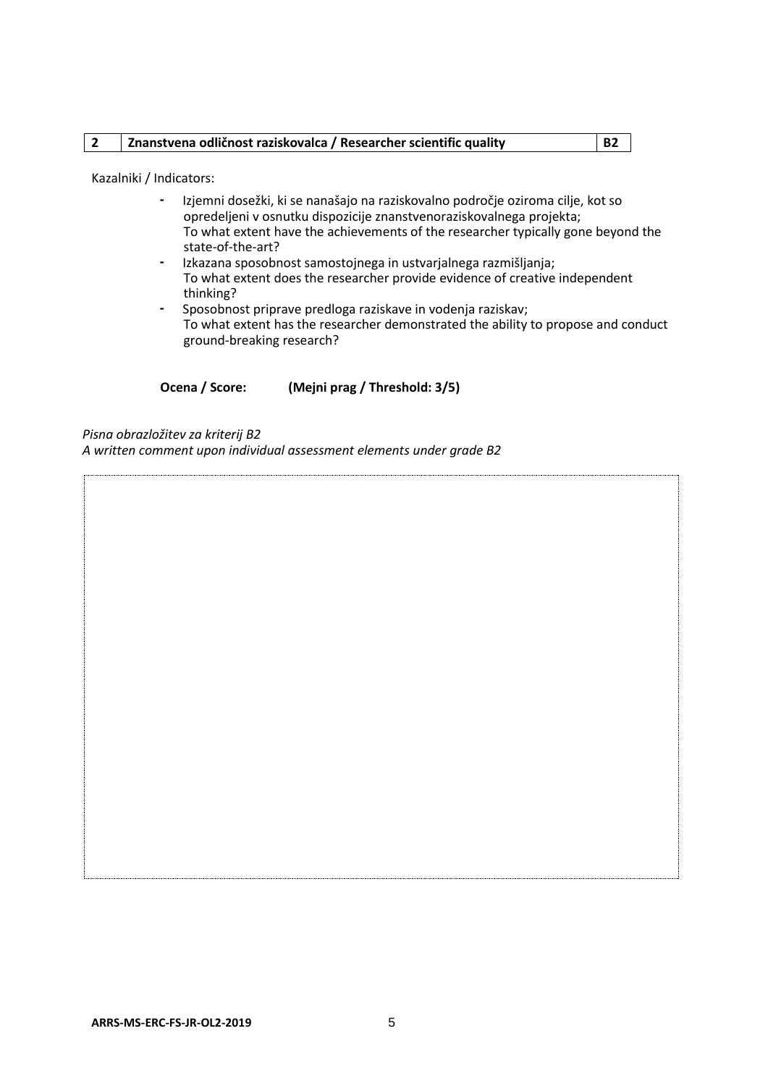# **2 Znanstvena odličnost raziskovalca / Researcher scientific quality B2**

Kazalniki / Indicators:

- Izjemni dosežki, ki se nanašajo na raziskovalno področje oziroma cilje, kot so opredeljeni v osnutku dispozicije znanstvenoraziskovalnega projekta; To what extent have the achievements of the researcher typically gone beyond the state-of-the-art?
- Izkazana sposobnost samostojnega in ustvarjalnega razmišljanja; To what extent does the researcher provide evidence of creative independent thinking?
- Sposobnost priprave predloga raziskave in vodenja raziskav; To what extent has the researcher demonstrated the ability to propose and conduct ground-breaking research?

**Ocena / Score: (Mejni prag / Threshold: 3/5)**

*Pisna obrazložitev za kriterij B2* 

*A written comment upon individual assessment elements under grade B2*